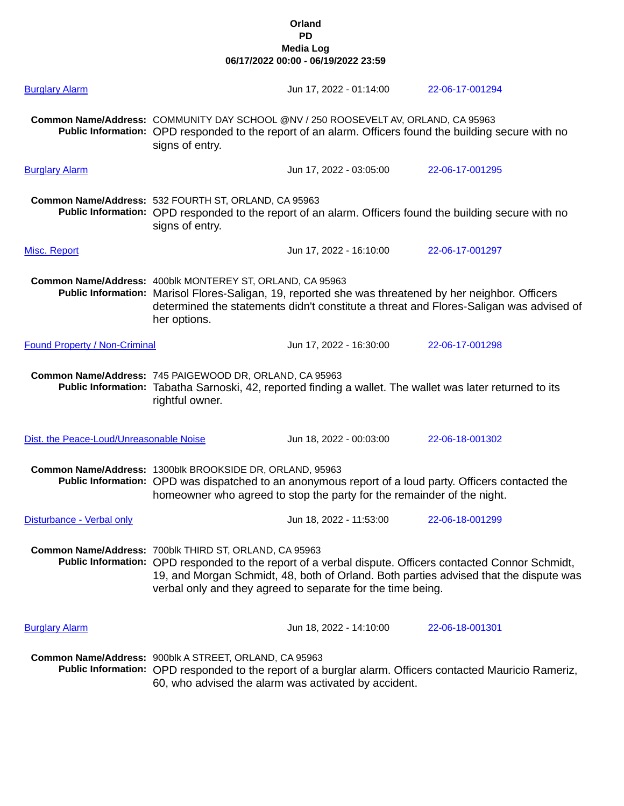## **Orland PD Media Log 06/17/2022 00:00 - 06/19/2022 23:59**

| <b>Burglary Alarm</b>                   |                                                                                                                                                                                                                                                                                                                           | Jun 17, 2022 - 01:14:00 | 22-06-17-001294 |  |  |  |
|-----------------------------------------|---------------------------------------------------------------------------------------------------------------------------------------------------------------------------------------------------------------------------------------------------------------------------------------------------------------------------|-------------------------|-----------------|--|--|--|
|                                         | Common Name/Address: COMMUNITY DAY SCHOOL @NV / 250 ROOSEVELT AV, ORLAND, CA 95963<br>Public Information: OPD responded to the report of an alarm. Officers found the building secure with no<br>signs of entry.                                                                                                          |                         |                 |  |  |  |
| <b>Burglary Alarm</b>                   |                                                                                                                                                                                                                                                                                                                           | Jun 17, 2022 - 03:05:00 | 22-06-17-001295 |  |  |  |
|                                         | Common Name/Address: 532 FOURTH ST, ORLAND, CA 95963<br>Public Information: OPD responded to the report of an alarm. Officers found the building secure with no<br>signs of entry.                                                                                                                                        |                         |                 |  |  |  |
| Misc. Report                            |                                                                                                                                                                                                                                                                                                                           | Jun 17, 2022 - 16:10:00 | 22-06-17-001297 |  |  |  |
|                                         | Common Name/Address: 400blk MONTEREY ST, ORLAND, CA 95963<br>Public Information: Marisol Flores-Saligan, 19, reported she was threatened by her neighbor. Officers<br>determined the statements didn't constitute a threat and Flores-Saligan was advised of<br>her options.                                              |                         |                 |  |  |  |
| <b>Found Property / Non-Criminal</b>    |                                                                                                                                                                                                                                                                                                                           | Jun 17, 2022 - 16:30:00 | 22-06-17-001298 |  |  |  |
|                                         | Common Name/Address: 745 PAIGEWOOD DR, ORLAND, CA 95963<br>Public Information: Tabatha Sarnoski, 42, reported finding a wallet. The wallet was later returned to its<br>rightful owner.                                                                                                                                   |                         |                 |  |  |  |
| Dist. the Peace-Loud/Unreasonable Noise |                                                                                                                                                                                                                                                                                                                           | Jun 18, 2022 - 00:03:00 | 22-06-18-001302 |  |  |  |
|                                         | Common Name/Address: 1300blk BROOKSIDE DR, ORLAND, 95963<br>Public Information: OPD was dispatched to an anonymous report of a loud party. Officers contacted the<br>homeowner who agreed to stop the party for the remainder of the night.                                                                               |                         |                 |  |  |  |
| Disturbance - Verbal only               |                                                                                                                                                                                                                                                                                                                           | Jun 18, 2022 - 11:53:00 | 22-06-18-001299 |  |  |  |
|                                         | Common Name/Address: 700blk THIRD ST, ORLAND, CA 95963<br>Public Information: OPD responded to the report of a verbal dispute. Officers contacted Connor Schmidt,<br>19, and Morgan Schmidt, 48, both of Orland. Both parties advised that the dispute was<br>verbal only and they agreed to separate for the time being. |                         |                 |  |  |  |
| <b>Burglary Alarm</b>                   |                                                                                                                                                                                                                                                                                                                           | Jun 18, 2022 - 14:10:00 | 22-06-18-001301 |  |  |  |
|                                         | Common Name/Address: 900blk A STREET, ORLAND, CA 95963<br>Public Information: OPD responded to the report of a burglar alarm. Officers contacted Mauricio Rameriz,<br>60, who advised the alarm was activated by accident.                                                                                                |                         |                 |  |  |  |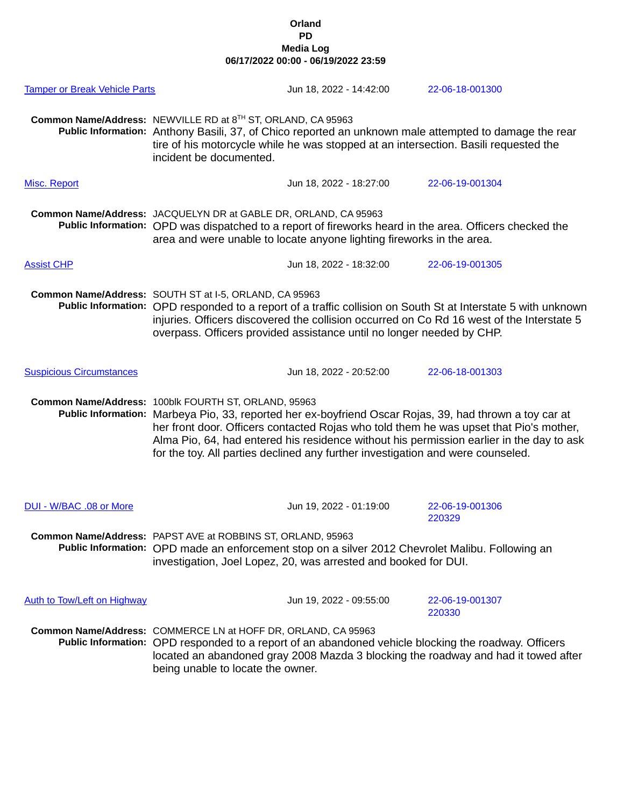## **Orland PD Media Log 06/17/2022 00:00 - 06/19/2022 23:59**

| <b>Tamper or Break Vehicle Parts</b> |                                                                                                                                                                                                                                                                                                                                                                                                                                          | Jun 18, 2022 - 14:42:00 |  | 22-06-18-001300           |  |
|--------------------------------------|------------------------------------------------------------------------------------------------------------------------------------------------------------------------------------------------------------------------------------------------------------------------------------------------------------------------------------------------------------------------------------------------------------------------------------------|-------------------------|--|---------------------------|--|
|                                      | Common Name/Address: NEWVILLE RD at 8TH ST, ORLAND, CA 95963<br>Public Information: Anthony Basili, 37, of Chico reported an unknown male attempted to damage the rear<br>tire of his motorcycle while he was stopped at an intersection. Basili requested the<br>incident be documented.                                                                                                                                                |                         |  |                           |  |
| Misc. Report                         |                                                                                                                                                                                                                                                                                                                                                                                                                                          | Jun 18, 2022 - 18:27:00 |  | 22-06-19-001304           |  |
|                                      | Common Name/Address: JACQUELYN DR at GABLE DR, ORLAND, CA 95963<br>Public Information: OPD was dispatched to a report of fireworks heard in the area. Officers checked the<br>area and were unable to locate anyone lighting fireworks in the area.                                                                                                                                                                                      |                         |  |                           |  |
| <b>Assist CHP</b>                    |                                                                                                                                                                                                                                                                                                                                                                                                                                          | Jun 18, 2022 - 18:32:00 |  | 22-06-19-001305           |  |
|                                      | Common Name/Address: SOUTH ST at I-5, ORLAND, CA 95963<br>Public Information: OPD responded to a report of a traffic collision on South St at Interstate 5 with unknown<br>injuries. Officers discovered the collision occurred on Co Rd 16 west of the Interstate 5<br>overpass. Officers provided assistance until no longer needed by CHP.                                                                                            |                         |  |                           |  |
| <b>Suspicious Circumstances</b>      |                                                                                                                                                                                                                                                                                                                                                                                                                                          | Jun 18, 2022 - 20:52:00 |  | 22-06-18-001303           |  |
|                                      | Common Name/Address: 100blk FOURTH ST, ORLAND, 95963<br>Public Information: Marbeya Pio, 33, reported her ex-boyfriend Oscar Rojas, 39, had thrown a toy car at<br>her front door. Officers contacted Rojas who told them he was upset that Pio's mother,<br>Alma Pio, 64, had entered his residence without his permission earlier in the day to ask<br>for the toy. All parties declined any further investigation and were counseled. |                         |  |                           |  |
| DUI - W/BAC .08 or More              |                                                                                                                                                                                                                                                                                                                                                                                                                                          | Jun 19, 2022 - 01:19:00 |  | 22-06-19-001306<br>220329 |  |
|                                      | Common Name/Address: PAPST AVE at ROBBINS ST, ORLAND, 95963<br>Public Information: OPD made an enforcement stop on a silver 2012 Chevrolet Malibu. Following an<br>investigation, Joel Lopez, 20, was arrested and booked for DUI.                                                                                                                                                                                                       |                         |  |                           |  |
| <b>Auth to Tow/Left on Highway</b>   |                                                                                                                                                                                                                                                                                                                                                                                                                                          | Jun 19, 2022 - 09:55:00 |  | 22-06-19-001307<br>220330 |  |
|                                      | Common Name/Address: COMMERCE LN at HOFF DR, ORLAND, CA 95963<br>Public Information: OPD responded to a report of an abandoned vehicle blocking the roadway. Officers<br>located an abandoned gray 2008 Mazda 3 blocking the roadway and had it towed after<br>being unable to locate the owner.                                                                                                                                         |                         |  |                           |  |